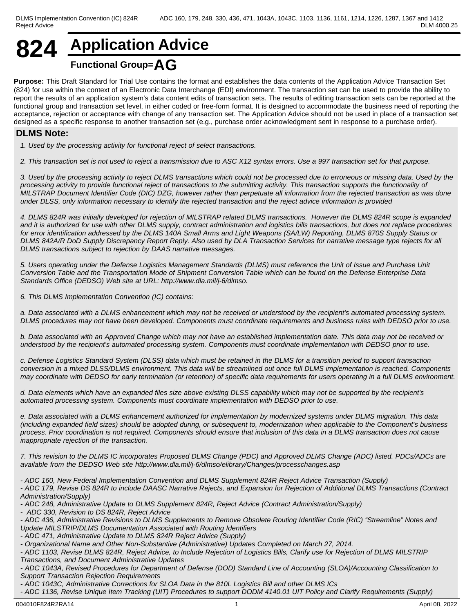## **824 Application Advice Functional Group=AG**

**Purpose:** This Draft Standard for Trial Use contains the format and establishes the data contents of the Application Advice Transaction Set (824) for use within the context of an Electronic Data Interchange (EDI) environment. The transaction set can be used to provide the ability to report the results of an application system's data content edits of transaction sets. The results of editing transaction sets can be reported at the functional group and transaction set level, in either coded or free-form format. It is designed to accommodate the business need of reporting the acceptance, rejection or acceptance with change of any transaction set. The Application Advice should not be used in place of a transaction set designed as a specific response to another transaction set (e.g., purchase order acknowledgment sent in response to a purchase order).

## **DLMS Note:**

*1. Used by the processing activity for functional reject of select transactions.*

*2. This transaction set is not used to reject a transmission due to ASC X12 syntax errors. Use a 997 transaction set for that purpose.*

*3. Used by the processing activity to reject DLMS transactions which could not be processed due to erroneous or missing data. Used by the processing activity to provide functional reject of transactions to the submitting activity. This transaction supports the functionality of MILSTRAP Document Identifier Code (DIC) DZG, however rather than perpetuate all information from the rejected transaction as was done under DLSS, only information necessary to identify the rejected transaction and the reject advice information is provided*

*4. DLMS 824R was initially developed for rejection of MILSTRAP related DLMS transactions. However the DLMS 824R scope is expanded and it is authorized for use with other DLMS supply, contract administration and logistics bills transactions, but does not replace procedures for error identification addressed by the DLMS 140A Small Arms and Light Weapons (SA/LW) Reporting, DLMS 870S Supply Status or DLMS 842A/R DoD Supply Discrepancy Report Reply. Also used by DLA Transaction Services for narrative message type rejects for all DLMS transactions subject to rejection by DAAS narrative messages.*

*5. Users operating under the Defense Logistics Management Standards (DLMS) must reference the Unit of Issue and Purchase Unit Conversion Table and the Transportation Mode of Shipment Conversion Table which can be found on the Defense Enterprise Data Standards Office (DEDSO) Web site at URL: http://www.dla.mil/j-6/dlmso.*

*6. This DLMS Implementation Convention (IC) contains:*

*a. Data associated with a DLMS enhancement which may not be received or understood by the recipient's automated processing system. DLMS procedures may not have been developed. Components must coordinate requirements and business rules with DEDSO prior to use.*

*b. Data associated with an Approved Change which may not have an established implementation date. This data may not be received or understood by the recipient's automated processing system. Components must coordinate implementation with DEDSO prior to use.*

*c. Defense Logistics Standard System (DLSS) data which must be retained in the DLMS for a transition period to support transaction conversion in a mixed DLSS/DLMS environment. This data will be streamlined out once full DLMS implementation is reached. Components may coordinate with DEDSO for early termination (or retention) of specific data requirements for users operating in a full DLMS environment.*

*d. Data elements which have an expanded files size above existing DLSS capability which may not be supported by the recipient's automated processing system. Components must coordinate implementation with DEDSO prior to use.*

*e. Data associated with a DLMS enhancement authorized for implementation by modernized systems under DLMS migration. This data (including expanded field sizes) should be adopted during, or subsequent to, modernization when applicable to the Component's business process. Prior coordination is not required. Components should ensure that inclusion of this data in a DLMS transaction does not cause inappropriate rejection of the transaction.*

*7. This revision to the DLMS IC incorporates Proposed DLMS Change (PDC) and Approved DLMS Change (ADC) listed. PDCs/ADCs are available from the DEDSO Web site http://www.dla.mil/j-6/dlmso/elibrary/Changes/processchanges.asp*

*- ADC 160, New Federal Implementation Convention and DLMS Supplement 824R Reject Advice Transaction (Supply)*

*- ADC 179, Revise DS 824R to include DAASC Narrative Rejects, and Expansion for Rejection of Additional DLMS Transactions (Contract Administration/Supply)*

*- ADC 248, Administrative Update to DLMS Supplement 824R, Reject Advice (Contract Administration/Supply)*

*- ADC 330, Revision to DS 824R, Reject Advice*

*- ADC 436, Administrative Revisions to DLMS Supplements to Remove Obsolete Routing Identifier Code (RIC) "Streamline" Notes and Update MILSTRIP/DLMS Documentation Associated with Routing Identifiers*

*- ADC 471, Administrative Update to DLMS 824R Reject Advice (Supply)*

*- Organizational Name and Other Non-Substantive (Administrative) Updates Completed on March 27, 2014.* 

*- ADC 1103, Revise DLMS 824R, Reject Advice, to Include Rejection of Logistics Bills, Clarify use for Rejection of DLMS MILSTRIP Transactions, and Document Administrative Updates*

*- ADC 1043A, Revised Procedures for Department of Defense (DOD) Standard Line of Accounting (SLOA)/Accounting Classification to Support Transaction Rejection Requirements*

*- ADC 1043C, Administrative Corrections for SLOA Data in the 810L Logistics Bill and other DLMS ICs*

*- ADC 1136, Revise Unique Item Tracking (UIT) Procedures to support DODM 4140.01 UIT Policy and Clarify Requirements (Supply)*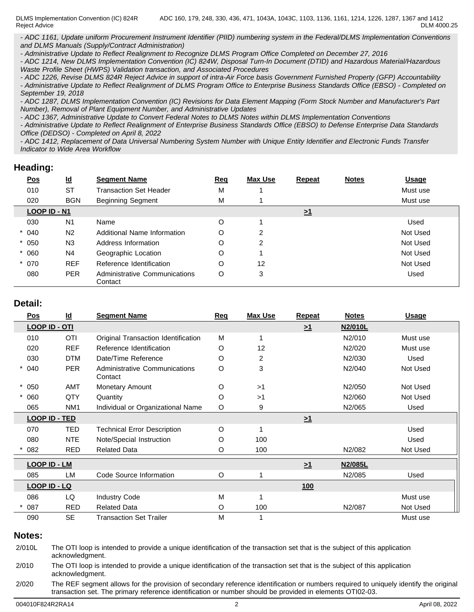DLMS Implementation Convention (IC) 824R ADC 160, 179, 248, 330, 436, 471, 1043A, 1043C, 1103, 1136, 1161, 1214, 1226, 1287, 1367 and 1412 Reject Advice

DLM 4000.25

*- ADC 1161, Update uniform Procurement Instrument Identifier (PIID) numbering system in the Federal/DLMS Implementation Conventions and DLMS Manuals (Supply/Contract Administration)*

*- Administrative Update to Reflect Realignment to Recognize DLMS Program Office Completed on December 27, 2016*

*- ADC 1214, New DLMS Implementation Convention (IC) 824W, Disposal Turn-In Document (DTID) and Hazardous Material/Hazardous Waste Profile Sheet (HWPS) Validation transaction, and Associated Procedures*

*- ADC 1226, Revise DLMS 824R Reject Advice in support of intra-Air Force basis Government Furnished Property (GFP) Accountability - Administrative Update to Reflect Realignment of DLMS Program Office to Enterprise Business Standards Office (EBSO) - Completed on September 19, 2018*

*- ADC 1287, DLMS Implementation Convention (IC) Revisions for Data Element Mapping (Form Stock Number and Manufacturer's Part Number), Removal of Plant Equipment Number, and Administrative Updates*

*- ADC 1367, Administrative Update to Convert Federal Notes to DLMS Notes within DLMS Implementation Conventions* 

*- Administrative Update to Reflect Realignment of Enterprise Business Standards Office (EBSO) to Defense Enterprise Data Standards Office (DEDSO) - Completed on April 8, 2022*

*- ADC 1412, Replacement of Data Universal Numbering System Number with Unique Entity Identifier and Electronic Funds Transfer Indicator to Wide Area Workflow*

### **Heading:**

| <u>Pos</u>   | $\underline{\mathsf{Id}}$ | <b>Segment Name</b>                      | <b>Req</b> | Max Use | <b>Repeat</b>       | <b>Notes</b> | <b>Usage</b> |
|--------------|---------------------------|------------------------------------------|------------|---------|---------------------|--------------|--------------|
| 010          | <b>ST</b>                 | <b>Transaction Set Header</b>            | М          |         |                     |              | Must use     |
| 020          | <b>BGN</b>                | <b>Beginning Segment</b>                 | M          |         |                     |              | Must use     |
| LOOP ID - N1 |                           |                                          |            |         | $\geq$ <sup>1</sup> |              |              |
| 030          | N <sub>1</sub>            | Name                                     | O          |         |                     |              | Used         |
| 040          | N <sub>2</sub>            | Additional Name Information              | O          | າ       |                     |              | Not Used     |
| 050          | N <sub>3</sub>            | Address Information                      | O          | 2       |                     |              | Not Used     |
| 060          | N <sub>4</sub>            | Geographic Location                      | O          |         |                     |              | Not Used     |
| $*070$       | <b>REF</b>                | Reference Identification                 | O          | 12      |                     |              | Not Used     |
| 080          | <b>PER</b>                | Administrative Communications<br>Contact | O          | 3       |                     |              | Used         |

### **Detail:**

| Pos                  | $\underline{\mathsf{Id}}$ | <b>Segment Name</b>                      | Req     | <b>Max Use</b> | Repeat     | <b>Notes</b> | <b>Usage</b> |
|----------------------|---------------------------|------------------------------------------|---------|----------------|------------|--------------|--------------|
| <b>LOOP ID - OTI</b> |                           |                                          |         |                | $\geq 1$   | N2/010L      |              |
| 010                  | <b>OTI</b>                | Original Transaction Identification      | M       |                |            | N2/010       | Must use     |
| 020                  | <b>REF</b>                | Reference Identification                 | O       | 12             |            | N2/020       | Must use     |
| 030                  | <b>DTM</b>                | Date/Time Reference                      | O       | 2              |            | N2/030       | Used         |
| 040                  | <b>PER</b>                | Administrative Communications<br>Contact | $\circ$ | 3              |            | N2/040       | Not Used     |
| $* 050$              | AMT                       | Monetary Amount                          | O       | >1             |            | N2/050       | Not Used     |
| 060                  | QTY                       | Quantity                                 | O       | >1             |            | N2/060       | Not Used     |
| 065                  | NM <sub>1</sub>           | Individual or Organizational Name        | O       | 9              |            | N2/065       | Used         |
| <b>LOOP ID - TED</b> |                           |                                          |         |                | $\geq 1$   |              |              |
| 070                  | <b>TED</b>                | <b>Technical Error Description</b>       | O       |                |            |              | Used         |
| 080                  | <b>NTE</b>                | Note/Special Instruction                 | O       | 100            |            |              | Used         |
| 082                  | <b>RED</b>                | <b>Related Data</b>                      | O       | 100            |            | N2/082       | Not Used     |
| <b>LOOP ID - LM</b>  |                           |                                          |         |                | $\geq 1$   | N2/085L      |              |
| 085                  | <b>LM</b>                 | Code Source Information                  | $\circ$ |                |            | N2/085       | Used         |
| <b>LOOP ID - LQ</b>  |                           |                                          |         |                | <u>100</u> |              |              |
| 086                  | LQ                        | <b>Industry Code</b>                     | M       |                |            |              | Must use     |
| 087                  | <b>RED</b>                | <b>Related Data</b>                      | O       | 100            |            | N2/087       | Not Used     |
| 090                  | <b>SE</b>                 | <b>Transaction Set Trailer</b>           | M       |                |            |              | Must use     |

#### **Notes:**

2/010L The OTI loop is intended to provide a unique identification of the transaction set that is the subject of this application acknowledgment.

2/010 The OTI loop is intended to provide a unique identification of the transaction set that is the subject of this application acknowledgment.

2/020 The REF segment allows for the provision of secondary reference identification or numbers required to uniquely identify the original transaction set. The primary reference identification or number should be provided in elements OTI02-03.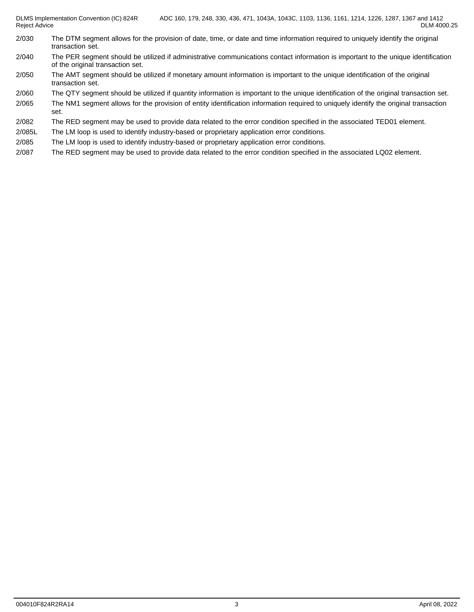- 2/030 The DTM segment allows for the provision of date, time, or date and time information required to uniquely identify the original transaction set.
- 2/040 The PER segment should be utilized if administrative communications contact information is important to the unique identification of the original transaction set.
- 2/050 The AMT segment should be utilized if monetary amount information is important to the unique identification of the original transaction set.
- 2/060 The QTY segment should be utilized if quantity information is important to the unique identification of the original transaction set.
- 2/065 The NM1 segment allows for the provision of entity identification information required to uniquely identify the original transaction set.
- 2/082 The RED segment may be used to provide data related to the error condition specified in the associated TED01 element.
- 2/085L The LM loop is used to identify industry-based or proprietary application error conditions.
- 2/085 The LM loop is used to identify industry-based or proprietary application error conditions.
- 2/087 The RED segment may be used to provide data related to the error condition specified in the associated LQ02 element.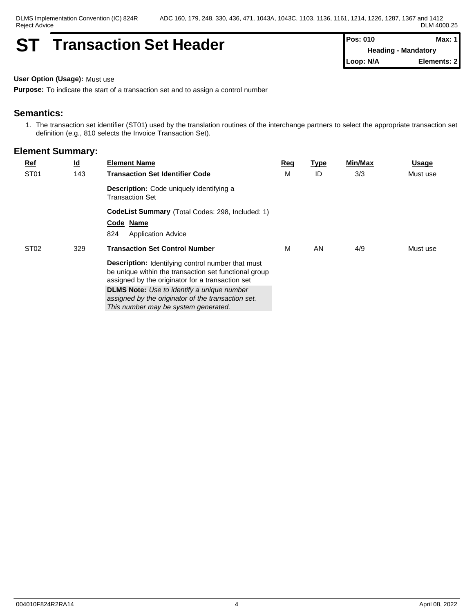## **ST Transaction Set Header Pos: 010 Pos: 010 Max: Max:**

**Heading - Mandatory Loop: N/A Elements: 2**

**User Option (Usage):** Must use

**Purpose:** To indicate the start of a transaction set and to assign a control number

## **Semantics:**

1. The transaction set identifier (ST01) used by the translation routines of the interchange partners to select the appropriate transaction set definition (e.g., 810 selects the Invoice Transaction Set).

| $Ref$            | <u>ld</u> | <b>Element Name</b>                                                                                                                                                   | <u>Req</u> | <b>Type</b> | <b>Min/Max</b> | <u>Usage</u> |
|------------------|-----------|-----------------------------------------------------------------------------------------------------------------------------------------------------------------------|------------|-------------|----------------|--------------|
| ST <sub>01</sub> | 143       | <b>Transaction Set Identifier Code</b>                                                                                                                                | М          | ID          | 3/3            | Must use     |
|                  |           | Description: Code uniquely identifying a<br><b>Transaction Set</b>                                                                                                    |            |             |                |              |
|                  |           | CodeList Summary (Total Codes: 298, Included: 1)                                                                                                                      |            |             |                |              |
|                  |           | Code Name                                                                                                                                                             |            |             |                |              |
|                  |           | 824<br><b>Application Advice</b>                                                                                                                                      |            |             |                |              |
| ST <sub>02</sub> | 329       | <b>Transaction Set Control Number</b>                                                                                                                                 | м          | AN          | 4/9            | Must use     |
|                  |           | <b>Description:</b> Identifying control number that must<br>be unique within the transaction set functional group<br>assigned by the originator for a transaction set |            |             |                |              |
|                  |           | <b>DLMS Note:</b> Use to identify a unique number<br>assigned by the originator of the transaction set.<br>This number may be system generated.                       |            |             |                |              |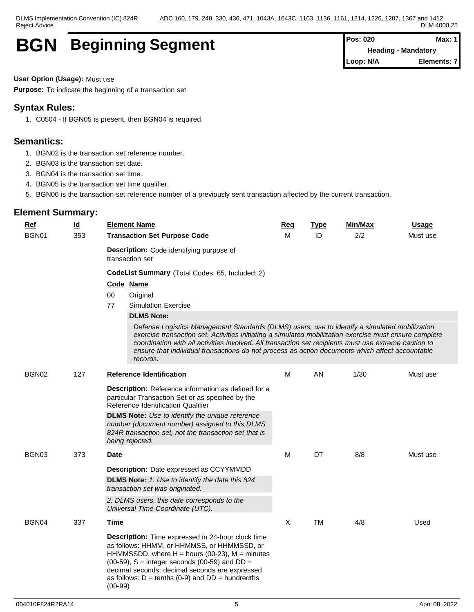## **BGN** Beginning Segment **Pos: 020 Pos: 020 Max:** Max:

**Heading - Mandatory Loop: N/A Elements: 7**

**User Option (Usage):** Must use

**Purpose:** To indicate the beginning of a transaction set

## **Syntax Rules:**

1. C0504 - If BGN05 is present, then BGN04 is required.

## **Semantics:**

- 1. BGN02 is the transaction set reference number.
- 2. BGN03 is the transaction set date.
- 3. BGN04 is the transaction set time.
- 4. BGN05 is the transaction set time qualifier.
- 5. BGN06 is the transaction set reference number of a previously sent transaction affected by the current transaction.

| <b>Ref</b> | $\underline{\mathsf{Id}}$ | <b>Element Name</b>                                                                                                                                                                                                                                                                                                                                                                                                             | Req          | <b>Type</b> | Min/Max | <b>Usage</b> |
|------------|---------------------------|---------------------------------------------------------------------------------------------------------------------------------------------------------------------------------------------------------------------------------------------------------------------------------------------------------------------------------------------------------------------------------------------------------------------------------|--------------|-------------|---------|--------------|
| BGN01      | 353                       | <b>Transaction Set Purpose Code</b>                                                                                                                                                                                                                                                                                                                                                                                             |              | ID          | 2/2     | Must use     |
|            |                           | <b>Description:</b> Code identifying purpose of<br>transaction set                                                                                                                                                                                                                                                                                                                                                              |              |             |         |              |
|            |                           | CodeList Summary (Total Codes: 65, Included: 2)                                                                                                                                                                                                                                                                                                                                                                                 |              |             |         |              |
|            |                           | Code Name                                                                                                                                                                                                                                                                                                                                                                                                                       |              |             |         |              |
|            |                           | 00<br>Original                                                                                                                                                                                                                                                                                                                                                                                                                  |              |             |         |              |
|            |                           | 77<br><b>Simulation Exercise</b>                                                                                                                                                                                                                                                                                                                                                                                                |              |             |         |              |
|            |                           | <b>DLMS Note:</b>                                                                                                                                                                                                                                                                                                                                                                                                               |              |             |         |              |
|            |                           | Defense Logistics Management Standards (DLMS) users, use to identify a simulated mobilization<br>exercise transaction set. Activities initiating a simulated mobilization exercise must ensure complete<br>coordination with all activities involved. All transaction set recipients must use extreme caution to<br>ensure that individual transactions do not process as action documents which affect accountable<br>records. |              |             |         |              |
| BGN02      | 127                       | <b>Reference Identification</b>                                                                                                                                                                                                                                                                                                                                                                                                 | м            | AN          | 1/30    | Must use     |
|            |                           | Description: Reference information as defined for a<br>particular Transaction Set or as specified by the<br>Reference Identification Qualifier<br><b>DLMS Note:</b> Use to identify the unique reference                                                                                                                                                                                                                        |              |             |         |              |
|            |                           | number (document number) assigned to this DLMS<br>824R transaction set, not the transaction set that is<br>being rejected.                                                                                                                                                                                                                                                                                                      |              |             |         |              |
| BGN03      | 373                       | Date                                                                                                                                                                                                                                                                                                                                                                                                                            | М            | DT          | 8/8     | Must use     |
|            |                           | <b>Description:</b> Date expressed as CCYYMMDD                                                                                                                                                                                                                                                                                                                                                                                  |              |             |         |              |
|            |                           | DLMS Note: 1. Use to identify the date this 824<br>transaction set was originated.                                                                                                                                                                                                                                                                                                                                              |              |             |         |              |
|            |                           | 2. DLMS users, this date corresponds to the<br>Universal Time Coordinate (UTC).                                                                                                                                                                                                                                                                                                                                                 |              |             |         |              |
| BGN04      | 337                       | Time                                                                                                                                                                                                                                                                                                                                                                                                                            | $\mathsf{X}$ | <b>TM</b>   | 4/8     | Used         |
|            |                           | Description: Time expressed in 24-hour clock time<br>as follows: HHMM, or HHMMSS, or HHMMSSD, or<br>HHMMSSDD, where $H =$ hours (00-23), $M =$ minutes<br>$(00-59)$ , S = integer seconds $(00-59)$ and DD =<br>decimal seconds; decimal seconds are expressed<br>as follows: $D = \text{tenths}$ (0-9) and $DD = \text{hundredths}$<br>$(00-99)$                                                                               |              |             |         |              |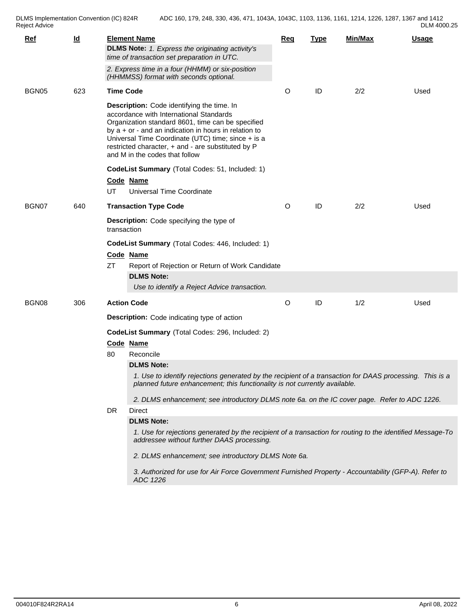DLMS Implementation Convention (IC) 824R<br>Reject Advice

| DLM 4000.25 |  |
|-------------|--|
|-------------|--|

| <u>Ref</u> | $\underline{\mathsf{Id}}$                                                                                                                                                                                                                                                                                                                           | <b>Element Name</b><br><b>DLMS Note:</b> 1. Express the originating activity's<br>time of transaction set preparation in UTC. |                                                                                                                                                                                                             | Req     | <b>Type</b> | <b>Min/Max</b> | <b>Usage</b> |  |  |  |
|------------|-----------------------------------------------------------------------------------------------------------------------------------------------------------------------------------------------------------------------------------------------------------------------------------------------------------------------------------------------------|-------------------------------------------------------------------------------------------------------------------------------|-------------------------------------------------------------------------------------------------------------------------------------------------------------------------------------------------------------|---------|-------------|----------------|--------------|--|--|--|
|            |                                                                                                                                                                                                                                                                                                                                                     |                                                                                                                               | 2. Express time in a four (HHMM) or six-position<br>(HHMMSS) format with seconds optional.                                                                                                                  |         |             |                |              |  |  |  |
| BGN05      | 623                                                                                                                                                                                                                                                                                                                                                 | <b>Time Code</b>                                                                                                              |                                                                                                                                                                                                             | O       | ID          | 2/2            | Used         |  |  |  |
|            | Description: Code identifying the time. In<br>accordance with International Standards<br>Organization standard 8601, time can be specified<br>by $a + or -$ and an indication in hours in relation to<br>Universal Time Coordinate (UTC) time; since + is a<br>restricted character, + and - are substituted by P<br>and M in the codes that follow |                                                                                                                               |                                                                                                                                                                                                             |         |             |                |              |  |  |  |
|            |                                                                                                                                                                                                                                                                                                                                                     |                                                                                                                               | CodeList Summary (Total Codes: 51, Included: 1)                                                                                                                                                             |         |             |                |              |  |  |  |
|            |                                                                                                                                                                                                                                                                                                                                                     | UT                                                                                                                            | Code Name<br>Universal Time Coordinate                                                                                                                                                                      |         |             |                |              |  |  |  |
| BGN07      | 640                                                                                                                                                                                                                                                                                                                                                 |                                                                                                                               | <b>Transaction Type Code</b>                                                                                                                                                                                | $\circ$ | ID          | 2/2            | Used         |  |  |  |
|            |                                                                                                                                                                                                                                                                                                                                                     |                                                                                                                               | Description: Code specifying the type of<br>transaction                                                                                                                                                     |         |             |                |              |  |  |  |
|            |                                                                                                                                                                                                                                                                                                                                                     | CodeList Summary (Total Codes: 446, Included: 1)                                                                              |                                                                                                                                                                                                             |         |             |                |              |  |  |  |
|            |                                                                                                                                                                                                                                                                                                                                                     |                                                                                                                               | Code Name                                                                                                                                                                                                   |         |             |                |              |  |  |  |
|            |                                                                                                                                                                                                                                                                                                                                                     | <b>ZT</b>                                                                                                                     | Report of Rejection or Return of Work Candidate                                                                                                                                                             |         |             |                |              |  |  |  |
|            |                                                                                                                                                                                                                                                                                                                                                     |                                                                                                                               | <b>DLMS Note:</b><br>Use to identify a Reject Advice transaction.                                                                                                                                           |         |             |                |              |  |  |  |
| BGN08      | 306                                                                                                                                                                                                                                                                                                                                                 |                                                                                                                               | <b>Action Code</b>                                                                                                                                                                                          | $\circ$ | ID          | 1/2            | Used         |  |  |  |
|            |                                                                                                                                                                                                                                                                                                                                                     |                                                                                                                               | <b>Description:</b> Code indicating type of action                                                                                                                                                          |         |             |                |              |  |  |  |
|            |                                                                                                                                                                                                                                                                                                                                                     | CodeList Summary (Total Codes: 296, Included: 2)                                                                              |                                                                                                                                                                                                             |         |             |                |              |  |  |  |
|            |                                                                                                                                                                                                                                                                                                                                                     |                                                                                                                               | Code Name                                                                                                                                                                                                   |         |             |                |              |  |  |  |
|            |                                                                                                                                                                                                                                                                                                                                                     | 80                                                                                                                            | Reconcile                                                                                                                                                                                                   |         |             |                |              |  |  |  |
|            |                                                                                                                                                                                                                                                                                                                                                     |                                                                                                                               | <b>DLMS Note:</b><br>1. Use to identify rejections generated by the recipient of a transaction for DAAS processing. This is a<br>planned future enhancement; this functionality is not currently available. |         |             |                |              |  |  |  |
|            |                                                                                                                                                                                                                                                                                                                                                     |                                                                                                                               | 2. DLMS enhancement; see introductory DLMS note 6a. on the IC cover page. Refer to ADC 1226.                                                                                                                |         |             |                |              |  |  |  |
|            |                                                                                                                                                                                                                                                                                                                                                     | DR                                                                                                                            | Direct                                                                                                                                                                                                      |         |             |                |              |  |  |  |
|            |                                                                                                                                                                                                                                                                                                                                                     |                                                                                                                               | <b>DLMS Note:</b>                                                                                                                                                                                           |         |             |                |              |  |  |  |
|            |                                                                                                                                                                                                                                                                                                                                                     |                                                                                                                               | 1. Use for rejections generated by the recipient of a transaction for routing to the identified Message-To<br>addressee without further DAAS processing.                                                    |         |             |                |              |  |  |  |
|            |                                                                                                                                                                                                                                                                                                                                                     |                                                                                                                               | 2. DLMS enhancement; see introductory DLMS Note 6a.                                                                                                                                                         |         |             |                |              |  |  |  |
|            |                                                                                                                                                                                                                                                                                                                                                     |                                                                                                                               | 3. Authorized for use for Air Force Government Furnished Property - Accountability (GFP-A). Refer to<br>ADC 1226                                                                                            |         |             |                |              |  |  |  |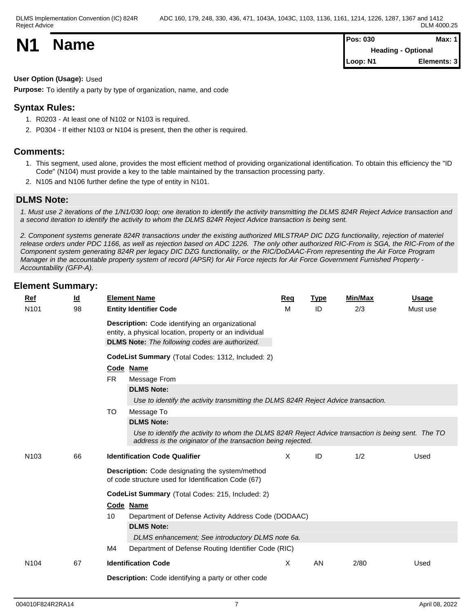**N1 Name Pos:** 030 **Max:** 1 **Heading - Optional Loop: N1 Elements: 3**

## **User Option (Usage):** Used

**Purpose:** To identify a party by type of organization, name, and code

## **Syntax Rules:**

- 1. R0203 At least one of N102 or N103 is required.
- 2. P0304 If either N103 or N104 is present, then the other is required.

## **Comments:**

- 1. This segment, used alone, provides the most efficient method of providing organizational identification. To obtain this efficiency the "ID Code" (N104) must provide a key to the table maintained by the transaction processing party.
- 2. N105 and N106 further define the type of entity in N101.

## **DLMS Note:**

*1. Must use 2 iterations of the 1/N1/030 loop; one iteration to identify the activity transmitting the DLMS 824R Reject Advice transaction and a second iteration to identify the activity to whom the DLMS 824R Reject Advice transaction is being sent.* 

*2. Component systems generate 824R transactions under the existing authorized MILSTRAP DIC DZG functionality, rejection of materiel release orders under PDC 1166, as well as rejection based on ADC 1226. The only other authorized RIC-From is SGA, the RIC-From of the Component system generating 824R per legacy DIC DZG functionality, or the RIC/DoDAAC-From representing the Air Force Program Manager in the accountable property system of record (APSR) for Air Force rejects for Air Force Government Furnished Property - Accountability (GFP-A).*

| Ref<br>N <sub>101</sub> | $\underline{\mathsf{Id}}$<br>98 | <b>Element Name</b><br><b>Entity Identifier Code</b>                                                                                                                                                               | Req<br>м | <b>Type</b><br>ID | Min/Max<br>2/3 | Usage<br>Must use |
|-------------------------|---------------------------------|--------------------------------------------------------------------------------------------------------------------------------------------------------------------------------------------------------------------|----------|-------------------|----------------|-------------------|
|                         |                                 | Description: Code identifying an organizational<br>entity, a physical location, property or an individual<br><b>DLMS Note:</b> The following codes are authorized.                                                 |          |                   |                |                   |
|                         |                                 | CodeList Summary (Total Codes: 1312, Included: 2)                                                                                                                                                                  |          |                   |                |                   |
|                         |                                 | Code Name<br><b>FR</b><br>Message From                                                                                                                                                                             |          |                   |                |                   |
|                         |                                 | <b>DLMS Note:</b><br>Use to identify the activity transmitting the DLMS 824R Reject Advice transaction.                                                                                                            |          |                   |                |                   |
|                         |                                 | <b>TO</b><br>Message To<br><b>DLMS Note:</b><br>Use to identify the activity to whom the DLMS 824R Reject Advice transaction is being sent. The TO<br>address is the originator of the transaction being rejected. |          |                   |                |                   |
| N <sub>103</sub>        | 66                              | <b>Identification Code Qualifier</b>                                                                                                                                                                               | X        | ID                | 1/2            | Used              |
|                         |                                 | Description: Code designating the system/method<br>of code structure used for Identification Code (67)                                                                                                             |          |                   |                |                   |
|                         |                                 | CodeList Summary (Total Codes: 215, Included: 2)                                                                                                                                                                   |          |                   |                |                   |
|                         |                                 | Code Name                                                                                                                                                                                                          |          |                   |                |                   |
|                         |                                 | Department of Defense Activity Address Code (DODAAC)<br>10<br><b>DLMS Note:</b>                                                                                                                                    |          |                   |                |                   |
|                         |                                 | DLMS enhancement; See introductory DLMS note 6a.                                                                                                                                                                   |          |                   |                |                   |
|                         |                                 | M4<br>Department of Defense Routing Identifier Code (RIC)                                                                                                                                                          |          |                   |                |                   |
| N104                    | 67                              | <b>Identification Code</b>                                                                                                                                                                                         | Χ        | AN                | 2/80           | Used              |
|                         |                                 | <b>Description:</b> Code identifying a party or other code                                                                                                                                                         |          |                   |                |                   |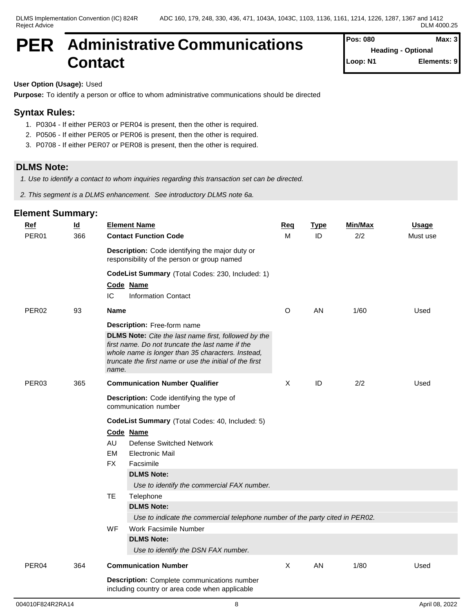## **PER Administrative Communications Contact**

| Pos: 080                  | Max: 3      |
|---------------------------|-------------|
| <b>Heading - Optional</b> |             |
| Loop: N1                  | Elements: 9 |

## **User Option (Usage):** Used

**Purpose:** To identify a person or office to whom administrative communications should be directed

## **Syntax Rules:**

- 1. P0304 If either PER03 or PER04 is present, then the other is required.
- 2. P0506 If either PER05 or PER06 is present, then the other is required.
- 3. P0708 If either PER07 or PER08 is present, then the other is required.

## **DLMS Note:**

*1. Use to identify a contact to whom inquiries regarding this transaction set can be directed.*

*2. This segment is a DLMS enhancement. See introductory DLMS note 6a.*

| <b>Ref</b>        | $\underline{\mathsf{Id}}$ | <b>Element Name</b>                                                                                          | <b>Req</b>  | <b>Type</b> | Min/Max | <b>Usage</b> |
|-------------------|---------------------------|--------------------------------------------------------------------------------------------------------------|-------------|-------------|---------|--------------|
| PER01             | 366                       | <b>Contact Function Code</b>                                                                                 | M           | ID          | 2/2     | Must use     |
|                   |                           | Description: Code identifying the major duty or<br>responsibility of the person or group named               |             |             |         |              |
|                   |                           | CodeList Summary (Total Codes: 230, Included: 1)                                                             |             |             |         |              |
|                   |                           | Code Name                                                                                                    |             |             |         |              |
|                   |                           | IC<br>Information Contact                                                                                    |             |             |         |              |
| PER <sub>02</sub> | 93                        | <b>Name</b>                                                                                                  | O           | AN          | 1/60    | Used         |
|                   |                           | Description: Free-form name                                                                                  |             |             |         |              |
|                   |                           | DLMS Note: Cite the last name first, followed by the                                                         |             |             |         |              |
|                   |                           | first name. Do not truncate the last name if the                                                             |             |             |         |              |
|                   |                           | whole name is longer than 35 characters. Instead,<br>truncate the first name or use the initial of the first |             |             |         |              |
|                   |                           | name.                                                                                                        |             |             |         |              |
| PER03             | 365                       | <b>Communication Number Qualifier</b>                                                                        | X           | ID          | 2/2     | Used         |
|                   |                           | Description: Code identifying the type of                                                                    |             |             |         |              |
|                   |                           | communication number                                                                                         |             |             |         |              |
|                   |                           | CodeList Summary (Total Codes: 40, Included: 5)                                                              |             |             |         |              |
|                   |                           | Code Name                                                                                                    |             |             |         |              |
|                   |                           | AU<br><b>Defense Switched Network</b>                                                                        |             |             |         |              |
|                   |                           | EM<br><b>Electronic Mail</b>                                                                                 |             |             |         |              |
|                   |                           | <b>FX</b><br>Facsimile                                                                                       |             |             |         |              |
|                   |                           | <b>DLMS Note:</b>                                                                                            |             |             |         |              |
|                   |                           | Use to identify the commercial FAX number.                                                                   |             |             |         |              |
|                   |                           | <b>TE</b><br>Telephone                                                                                       |             |             |         |              |
|                   |                           | <b>DLMS Note:</b><br>Use to indicate the commercial telephone number of the party cited in PER02.            |             |             |         |              |
|                   |                           | WF<br><b>Work Facsimile Number</b>                                                                           |             |             |         |              |
|                   |                           | <b>DLMS Note:</b>                                                                                            |             |             |         |              |
|                   |                           | Use to identify the DSN FAX number.                                                                          |             |             |         |              |
| PER04             | 364                       | <b>Communication Number</b>                                                                                  | $\mathsf X$ | AN          | 1/80    | Used         |
|                   |                           | <b>Description:</b> Complete communications number                                                           |             |             |         |              |
|                   |                           | including country or area code when applicable                                                               |             |             |         |              |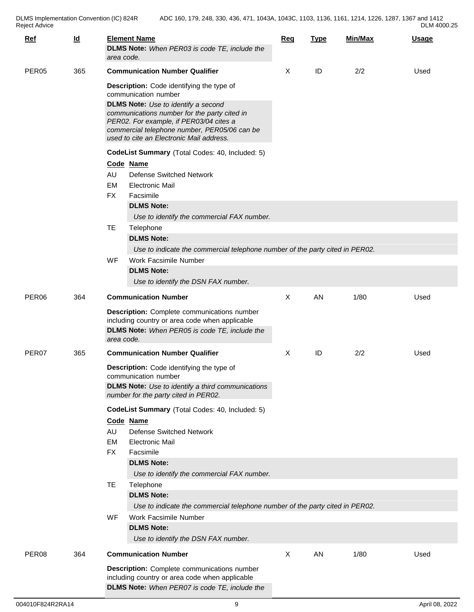| DLM 4000.25 |  |  |
|-------------|--|--|
|-------------|--|--|

| $Ref$             | $\underline{\mathsf{Id}}$ | area code.                                                                                                                                                                                                                                                                                                                                                                                         | <b>Element Name</b><br>DLMS Note: When PER03 is code TE, include the                                                                                                                                                                                                                                                                                                                                                                                                                                                                                                                                                               | <b>Req</b> | <b>Type</b> | Min/Max | Usage |
|-------------------|---------------------------|----------------------------------------------------------------------------------------------------------------------------------------------------------------------------------------------------------------------------------------------------------------------------------------------------------------------------------------------------------------------------------------------------|------------------------------------------------------------------------------------------------------------------------------------------------------------------------------------------------------------------------------------------------------------------------------------------------------------------------------------------------------------------------------------------------------------------------------------------------------------------------------------------------------------------------------------------------------------------------------------------------------------------------------------|------------|-------------|---------|-------|
| PER <sub>05</sub> | 365                       | <b>Communication Number Qualifier</b><br>Description: Code identifying the type of<br>communication number<br><b>DLMS Note:</b> Use to identify a second<br>communications number for the party cited in<br>PER02. For example, if PER03/04 cites a<br>commercial telephone number, PER05/06 can be<br>used to cite an Electronic Mail address.<br>CodeList Summary (Total Codes: 40, Included: 5) |                                                                                                                                                                                                                                                                                                                                                                                                                                                                                                                                                                                                                                    | X          | ID          | 2/2     | Used  |
|                   |                           | AU<br><b>EM</b><br><b>FX</b><br>TE.                                                                                                                                                                                                                                                                                                                                                                | Code Name<br><b>Defense Switched Network</b><br><b>Electronic Mail</b><br>Facsimile<br><b>DLMS Note:</b><br>Use to identify the commercial FAX number.<br>Telephone<br><b>DLMS Note:</b><br>Use to indicate the commercial telephone number of the party cited in PER02.                                                                                                                                                                                                                                                                                                                                                           |            |             |         |       |
|                   |                           | <b>WF</b>                                                                                                                                                                                                                                                                                                                                                                                          | Work Facsimile Number<br><b>DLMS Note:</b><br>Use to identify the DSN FAX number.                                                                                                                                                                                                                                                                                                                                                                                                                                                                                                                                                  |            |             |         |       |
| PER <sub>06</sub> | 364                       | area code.                                                                                                                                                                                                                                                                                                                                                                                         | <b>Communication Number</b><br><b>Description:</b> Complete communications number<br>including country or area code when applicable<br><b>DLMS Note:</b> When PER05 is code TE, include the                                                                                                                                                                                                                                                                                                                                                                                                                                        | X          | AN          | 1/80    | Used  |
| PER07             | 365                       | AU<br>EM<br><b>FX</b><br><b>TE</b><br>WF                                                                                                                                                                                                                                                                                                                                                           | <b>Communication Number Qualifier</b><br>Description: Code identifying the type of<br>communication number<br><b>DLMS Note:</b> Use to identify a third communications<br>number for the party cited in PER02.<br>CodeList Summary (Total Codes: 40, Included: 5)<br>Code Name<br><b>Defense Switched Network</b><br><b>Electronic Mail</b><br>Facsimile<br><b>DLMS Note:</b><br>Use to identify the commercial FAX number.<br>Telephone<br><b>DLMS Note:</b><br>Use to indicate the commercial telephone number of the party cited in PER02.<br>Work Facsimile Number<br><b>DLMS Note:</b><br>Use to identify the DSN FAX number. | X          | ID          | 2/2     | Used  |
| PER08             | 364                       |                                                                                                                                                                                                                                                                                                                                                                                                    | <b>Communication Number</b><br><b>Description:</b> Complete communications number<br>including country or area code when applicable<br>DLMS Note: When PER07 is code TE, include the                                                                                                                                                                                                                                                                                                                                                                                                                                               | Χ          | AN          | 1/80    | Used  |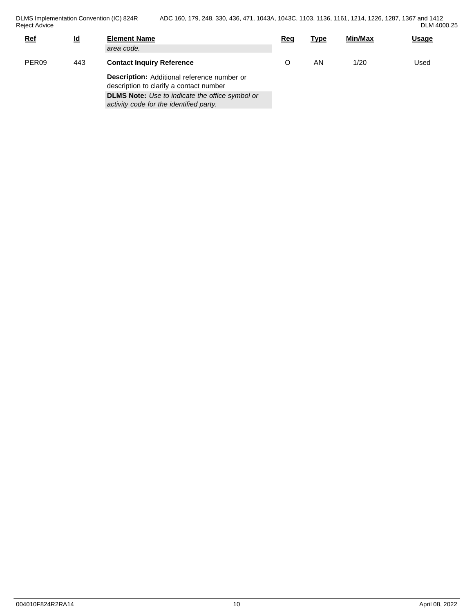| DLM 4000.25<br>. |  |
|------------------|--|
|------------------|--|

| <b>Ref</b>        | $\underline{\mathsf{Id}}$ | <b>Element Name</b>                                                                               | Rec | <b>Type</b> | Min/Max | <b>Usage</b> |
|-------------------|---------------------------|---------------------------------------------------------------------------------------------------|-----|-------------|---------|--------------|
|                   |                           | area code.                                                                                        |     |             |         |              |
| PER <sub>09</sub> | 443                       | <b>Contact Inquiry Reference</b>                                                                  |     | ΑN          | 1/20    | Used         |
|                   |                           | Description: Additional reference number or<br>description to clarify a contact number            |     |             |         |              |
|                   |                           | <b>DLMS Note:</b> Use to indicate the office symbol or<br>activity code for the identified party. |     |             |         |              |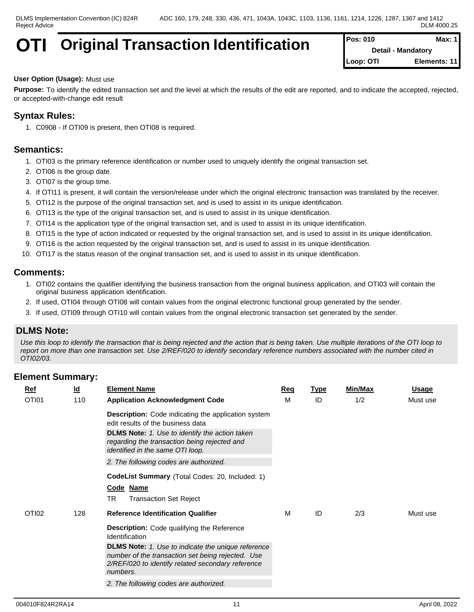# **Original Transaction Identification** Pos: 010 Max:

**Detail - Mandatory Loop: OTI Elements: 11**

#### **User Option (Usage):** Must use

**Purpose:** To identify the edited transaction set and the level at which the results of the edit are reported, and to indicate the accepted, rejected, or accepted-with-change edit result

## **Syntax Rules:**

1. C0908 - If OTI09 is present, then OTI08 is required.

## **Semantics:**

- 1. OTI03 is the primary reference identification or number used to uniquely identify the original transaction set.
- 2. OTI06 is the group date.
- 3. OTI07 is the group time.
- 4. If OTI11 is present, it will contain the version/release under which the original electronic transaction was translated by the receiver.
- 5. OTI12 is the purpose of the original transaction set, and is used to assist in its unique identification.
- 6. OTI13 is the type of the original transaction set, and is used to assist in its unique identification.
- 7. OTI14 is the application type of the original transaction set, and is used to assist in its unique identification.
- 8. OTI15 is the type of action indicated or requested by the original transaction set, and is used to assist in its unique identification.
- 9. OTI16 is the action requested by the original transaction set, and is used to assist in its unique identification.
- 10. OTI17 is the status reason of the original transaction set, and is used to assist in its unique identification.

#### **Comments:**

- 1. OTI02 contains the qualifier identifying the business transaction from the original business application, and OTI03 will contain the original business application identification.
- 2. If used, OTI04 through OTI08 will contain values from the original electronic functional group generated by the sender.
- 3. If used, OTI09 through OTI10 will contain values from the original electronic transaction set generated by the sender.

### **DLMS Note:**

*Use this loop to identify the transaction that is being rejected and the action that is being taken. Use multiple iterations of the OTI loop to report on more than one transaction set. Use 2/REF/020 to identify secondary reference numbers associated with the number cited in OTI02/03.*

| <b>Ref</b> | $\underline{\mathsf{Id}}$ | <b>Element Name</b>                                                                                                                                                             | Req | <b>Type</b> | <b>Min/Max</b> | <b>Usage</b> |
|------------|---------------------------|---------------------------------------------------------------------------------------------------------------------------------------------------------------------------------|-----|-------------|----------------|--------------|
| OTI01      | 110                       | <b>Application Acknowledgment Code</b>                                                                                                                                          | М   | ID          | 1/2            | Must use     |
|            |                           | <b>Description:</b> Code indicating the application system<br>edit results of the business data                                                                                 |     |             |                |              |
|            |                           | <b>DLMS Note:</b> 1. Use to identify the action taken<br>regarding the transaction being rejected and<br>identified in the same OTI loop.                                       |     |             |                |              |
|            |                           | 2. The following codes are authorized.                                                                                                                                          |     |             |                |              |
|            |                           | CodeList Summary (Total Codes: 20, Included: 1)<br>Code Name                                                                                                                    |     |             |                |              |
|            |                           | <b>TR</b><br><b>Transaction Set Reject</b>                                                                                                                                      |     |             |                |              |
| OTI02      | 128                       | <b>Reference Identification Qualifier</b>                                                                                                                                       | М   | ID          | 2/3            | Must use     |
|            |                           | <b>Description:</b> Code qualifying the Reference<br>Identification                                                                                                             |     |             |                |              |
|            |                           | <b>DLMS Note:</b> 1. Use to indicate the unique reference<br>number of the transaction set being rejected. Use<br>2/REF/020 to identify related secondary reference<br>numbers. |     |             |                |              |
|            |                           | 2. The following codes are authorized.                                                                                                                                          |     |             |                |              |
|            |                           |                                                                                                                                                                                 |     |             |                |              |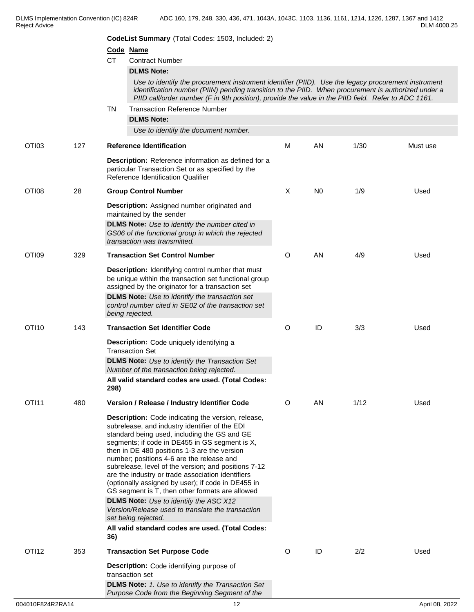|                   |     | <b>CodeList Summary</b> (Total Codes: 1503, Included: 2)                                                                                                                                                                                                                                                                                                                                                                                                                                                                         |         |                |      |          |
|-------------------|-----|----------------------------------------------------------------------------------------------------------------------------------------------------------------------------------------------------------------------------------------------------------------------------------------------------------------------------------------------------------------------------------------------------------------------------------------------------------------------------------------------------------------------------------|---------|----------------|------|----------|
|                   |     | Code Name                                                                                                                                                                                                                                                                                                                                                                                                                                                                                                                        |         |                |      |          |
|                   |     | <b>CT</b><br><b>Contract Number</b>                                                                                                                                                                                                                                                                                                                                                                                                                                                                                              |         |                |      |          |
|                   |     | <b>DLMS Note:</b>                                                                                                                                                                                                                                                                                                                                                                                                                                                                                                                |         |                |      |          |
|                   |     | Use to identify the procurement instrument identifier (PIID). Use the legacy procurement instrument<br>identification number (PIIN) pending transition to the PIID. When procurement is authorized under a<br>PIID call/order number (F in 9th position), provide the value in the PIID field. Refer to ADC 1161.                                                                                                                                                                                                                |         |                |      |          |
|                   |     | <b>Transaction Reference Number</b><br><b>TN</b>                                                                                                                                                                                                                                                                                                                                                                                                                                                                                 |         |                |      |          |
|                   |     | <b>DLMS Note:</b>                                                                                                                                                                                                                                                                                                                                                                                                                                                                                                                |         |                |      |          |
|                   |     | Use to identify the document number.                                                                                                                                                                                                                                                                                                                                                                                                                                                                                             |         |                |      |          |
| OTI03             | 127 | <b>Reference Identification</b>                                                                                                                                                                                                                                                                                                                                                                                                                                                                                                  | M       | AN             | 1/30 | Must use |
|                   |     | <b>Description:</b> Reference information as defined for a<br>particular Transaction Set or as specified by the<br>Reference Identification Qualifier                                                                                                                                                                                                                                                                                                                                                                            |         |                |      |          |
| OTI08             | 28  | <b>Group Control Number</b>                                                                                                                                                                                                                                                                                                                                                                                                                                                                                                      | X       | N <sub>0</sub> | 1/9  | Used     |
|                   |     | Description: Assigned number originated and<br>maintained by the sender<br><b>DLMS Note:</b> Use to identify the number cited in<br>GS06 of the functional group in which the rejected<br>transaction was transmitted.                                                                                                                                                                                                                                                                                                           |         |                |      |          |
| OTI09             | 329 | <b>Transaction Set Control Number</b>                                                                                                                                                                                                                                                                                                                                                                                                                                                                                            | O       | AN             | 4/9  | Used     |
|                   |     | <b>Description:</b> Identifying control number that must<br>be unique within the transaction set functional group<br>assigned by the originator for a transaction set<br><b>DLMS Note:</b> Use to identify the transaction set<br>control number cited in SE02 of the transaction set<br>being rejected.                                                                                                                                                                                                                         |         |                |      |          |
| OTI10             | 143 | <b>Transaction Set Identifier Code</b>                                                                                                                                                                                                                                                                                                                                                                                                                                                                                           | O       | ID             | 3/3  | Used     |
|                   |     | Description: Code uniquely identifying a<br><b>Transaction Set</b><br><b>DLMS Note:</b> Use to identify the Transaction Set<br>Number of the transaction being rejected.<br>All valid standard codes are used. (Total Codes:<br>298)                                                                                                                                                                                                                                                                                             |         |                |      |          |
| OTI11             | 480 | Version / Release / Industry Identifier Code                                                                                                                                                                                                                                                                                                                                                                                                                                                                                     | $\circ$ | AN             | 1/12 | Used     |
|                   |     | <b>Description:</b> Code indicating the version, release,<br>subrelease, and industry identifier of the EDI<br>standard being used, including the GS and GE<br>segments; if code in DE455 in GS segment is X,<br>then in DE 480 positions 1-3 are the version<br>number; positions 4-6 are the release and<br>subrelease, level of the version; and positions 7-12<br>are the industry or trade association identifiers<br>(optionally assigned by user); if code in DE455 in<br>GS segment is T, then other formats are allowed |         |                |      |          |
|                   |     | <b>DLMS Note:</b> Use to identify the ASC X12<br>Version/Release used to translate the transaction<br>set being rejected.                                                                                                                                                                                                                                                                                                                                                                                                        |         |                |      |          |
|                   |     | All valid standard codes are used. (Total Codes:<br>36)                                                                                                                                                                                                                                                                                                                                                                                                                                                                          |         |                |      |          |
| OTI <sub>12</sub> | 353 | <b>Transaction Set Purpose Code</b>                                                                                                                                                                                                                                                                                                                                                                                                                                                                                              | $\circ$ | ID             | 2/2  | Used     |
|                   |     | Description: Code identifying purpose of<br>transaction set                                                                                                                                                                                                                                                                                                                                                                                                                                                                      |         |                |      |          |
|                   |     | <b>DLMS Note:</b> 1. Use to identify the Transaction Set<br>Purpose Code from the Beginning Segment of the                                                                                                                                                                                                                                                                                                                                                                                                                       |         |                |      |          |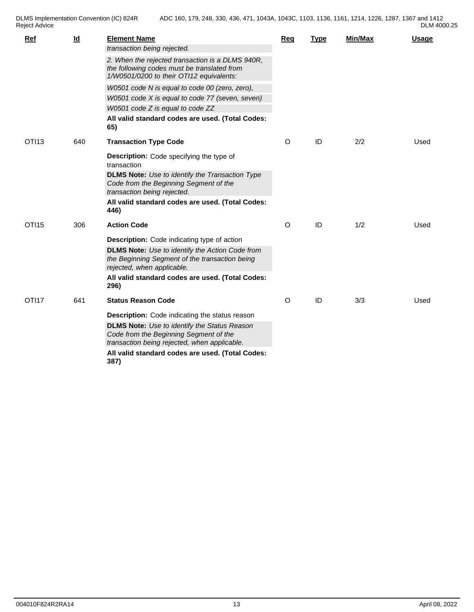| p      |  |
|--------|--|
| Advice |  |

| Ref               | $\underline{\mathsf{Id}}$ | <b>Element Name</b><br>transaction being rejected.<br>2. When the rejected transaction is a DLMS 940R,<br>the following codes must be translated from<br>1/W0501/0200 to their OTI12 equivalents:<br>W0501 code N is equal to code 00 (zero, zero),<br>W0501 code X is equal to code 77 (seven, seven)<br>W0501 code Z is equal to code ZZ<br>All valid standard codes are used. (Total Codes:<br>65) | Req | <b>Type</b> | <b>Min/Max</b> | <b>Usage</b> |
|-------------------|---------------------------|-------------------------------------------------------------------------------------------------------------------------------------------------------------------------------------------------------------------------------------------------------------------------------------------------------------------------------------------------------------------------------------------------------|-----|-------------|----------------|--------------|
| OTI <sub>13</sub> | 640                       | <b>Transaction Type Code</b><br>Description: Code specifying the type of<br>transaction<br><b>DLMS Note:</b> Use to identify the Transaction Type<br>Code from the Beginning Segment of the<br>transaction being rejected.<br>All valid standard codes are used. (Total Codes:<br>446)                                                                                                                | O   | ID          | 2/2            | Used         |
| OTI15             | 306                       | <b>Action Code</b><br><b>Description:</b> Code indicating type of action<br><b>DLMS Note:</b> Use to identify the Action Code from<br>the Beginning Segment of the transaction being<br>rejected, when applicable.<br>All valid standard codes are used. (Total Codes:<br>296)                                                                                                                        | O   | ID          | 1/2            | Used         |
| OTI17             | 641                       | <b>Status Reason Code</b><br>Description: Code indicating the status reason<br><b>DLMS Note:</b> Use to identify the Status Reason<br>Code from the Beginning Segment of the<br>transaction being rejected, when applicable.<br>All valid standard codes are used. (Total Codes:<br>387)                                                                                                              | O   | ID          | 3/3            | Used         |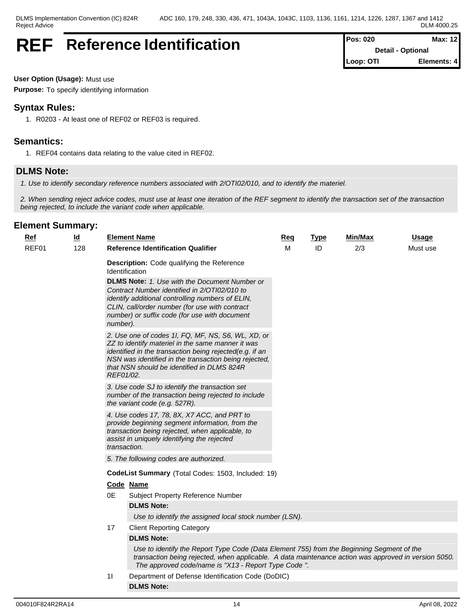## **REF** Reference Identification

| Pos: 020  | Max: 12                  |
|-----------|--------------------------|
|           | <b>Detail - Optional</b> |
| Loop: OTI | Elements: 4              |

**User Option (Usage):** Must use

**Purpose:** To specify identifying information

## **Syntax Rules:**

1. R0203 - At least one of REF02 or REF03 is required.

## **Semantics:**

1. REF04 contains data relating to the value cited in REF02.

## **DLMS Note:**

*1. Use to identify secondary reference numbers associated with 2/OTI02/010, and to identify the materiel.*

*2. When sending reject advice codes, must use at least one iteration of the REF segment to identify the transaction set of the transaction being rejected, to include the variant code when applicable.*

| Ref   | <u>ld</u> |                       | <b>Element Name</b>                                                                                                                                                                                                                                                                                                         | Req | <b>Type</b> | Min/Max | <b>Usage</b> |  |
|-------|-----------|-----------------------|-----------------------------------------------------------------------------------------------------------------------------------------------------------------------------------------------------------------------------------------------------------------------------------------------------------------------------|-----|-------------|---------|--------------|--|
| REF01 | 128       |                       | <b>Reference Identification Qualifier</b>                                                                                                                                                                                                                                                                                   | М   | ID          | 2/3     | Must use     |  |
|       |           |                       | Description: Code qualifying the Reference<br>Identification<br><b>DLMS Note:</b> 1. Use with the Document Number or<br>Contract Number identified in 2/OTI02/010 to<br>identify additional controlling numbers of ELIN,<br>CLIN, call/order number (for use with contract<br>number) or suffix code (for use with document |     |             |         |              |  |
|       |           | number).<br>REF01/02. | 2. Use one of codes 1I, FQ, MF, NS, S6, WL, XD, or<br>ZZ to identify materiel in the same manner it was<br>identified in the transaction being rejected(e.g. if an<br>NSN was identified in the transaction being rejected,<br>that NSN should be identified in DLMS 824R                                                   |     |             |         |              |  |
|       |           |                       | 3. Use code SJ to identify the transaction set<br>number of the transaction being rejected to include<br>the variant code (e.g. 527R).                                                                                                                                                                                      |     |             |         |              |  |
|       |           | transaction.          | 4. Use codes 17, 78, 8X, X7 ACC, and PRT to<br>provide beginning segment information, from the<br>transaction being rejected, when applicable, to<br>assist in uniquely identifying the rejected                                                                                                                            |     |             |         |              |  |
|       |           |                       | 5. The following codes are authorized.                                                                                                                                                                                                                                                                                      |     |             |         |              |  |
|       |           |                       | <b>CodeList Summary</b> (Total Codes: 1503, Included: 19)                                                                                                                                                                                                                                                                   |     |             |         |              |  |
|       |           |                       | Code Name                                                                                                                                                                                                                                                                                                                   |     |             |         |              |  |
|       |           | 0E                    | Subject Property Reference Number                                                                                                                                                                                                                                                                                           |     |             |         |              |  |
|       |           |                       | <b>DLMS Note:</b>                                                                                                                                                                                                                                                                                                           |     |             |         |              |  |
|       |           |                       | Use to identify the assigned local stock number (LSN).                                                                                                                                                                                                                                                                      |     |             |         |              |  |
|       |           | 17                    | <b>Client Reporting Category</b>                                                                                                                                                                                                                                                                                            |     |             |         |              |  |
|       |           |                       | <b>DLMS Note:</b>                                                                                                                                                                                                                                                                                                           |     |             |         |              |  |
|       |           |                       | Use to identify the Report Type Code (Data Element 755) from the Beginning Segment of the<br>transaction being rejected, when applicable. A data maintenance action was approved in version 5050.<br>The approved code/name is "X13 - Report Type Code ".                                                                   |     |             |         |              |  |
|       |           | 11                    | Department of Defense Identification Code (DoDIC)                                                                                                                                                                                                                                                                           |     |             |         |              |  |
|       |           |                       | DI MS Note:                                                                                                                                                                                                                                                                                                                 |     |             |         |              |  |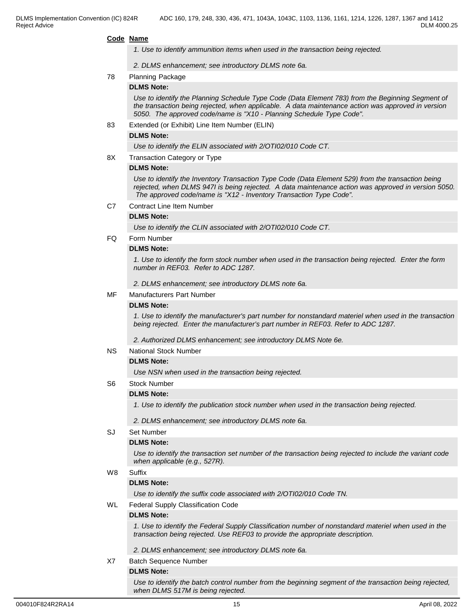#### **Code Name**

*1. Use to identify ammunition items when used in the transaction being rejected.*

*2. DLMS enhancement; see introductory DLMS note 6a.*

#### 78 Planning Package

#### **DLMS Note:**

*Use to identify the Planning Schedule Type Code (Data Element 783) from the Beginning Segment of the transaction being rejected, when applicable. A data maintenance action was approved in version 5050. The approved code/name is "X10 - Planning Schedule Type Code".* 

83 Extended (or Exhibit) Line Item Number (ELIN)

#### **DLMS Note:**

*Use to identify the ELIN associated with 2/OTI02/010 Code CT.*

8X Transaction Category or Type

#### **DLMS Note:**

*Use to identify the Inventory Transaction Type Code (Data Element 529) from the transaction being rejected, when DLMS 947I is being rejected. A data maintenance action was approved in version 5050. The approved code/name is "X12 - Inventory Transaction Type Code".*

C7 Contract Line Item Number

#### **DLMS Note:**

*Use to identify the CLIN associated with 2/OTI02/010 Code CT.*

FQ Form Number

#### **DLMS Note:**

*1. Use to identify the form stock number when used in the transaction being rejected. Enter the form number in REF03. Refer to ADC 1287.*

*2. DLMS enhancement; see introductory DLMS note 6a.*

#### MF Manufacturers Part Number

#### **DLMS Note:**

*1. Use to identify the manufacturer's part number for nonstandard materiel when used in the transaction being rejected. Enter the manufacturer's part number in REF03. Refer to ADC 1287.*

*2. Authorized DLMS enhancement; see introductory DLMS Note 6e.*

#### NS National Stock Number

#### **DLMS Note:**

*Use NSN when used in the transaction being rejected.*

#### S6 Stock Number

#### **DLMS Note:**

*1. Use to identify the publication stock number when used in the transaction being rejected.*

*2. DLMS enhancement; see introductory DLMS note 6a.*

#### SJ Set Number

#### **DLMS Note:**

*Use to identify the transaction set number of the transaction being rejected to include the variant code when applicable (e.g., 527R).*

#### W8 Suffix

#### **DLMS Note:**

*Use to identify the suffix code associated with 2/OTI02/010 Code TN.* 

WL Federal Supply Classification Code

#### **DLMS Note:**

*1. Use to identify the Federal Supply Classification number of nonstandard materiel when used in the transaction being rejected. Use REF03 to provide the appropriate description.*

*2. DLMS enhancement; see introductory DLMS note 6a.*

#### X7 Batch Sequence Number

### **DLMS Note:**

*Use to identify the batch control number from the beginning segment of the transaction being rejected, when DLMS 517M is being rejected.*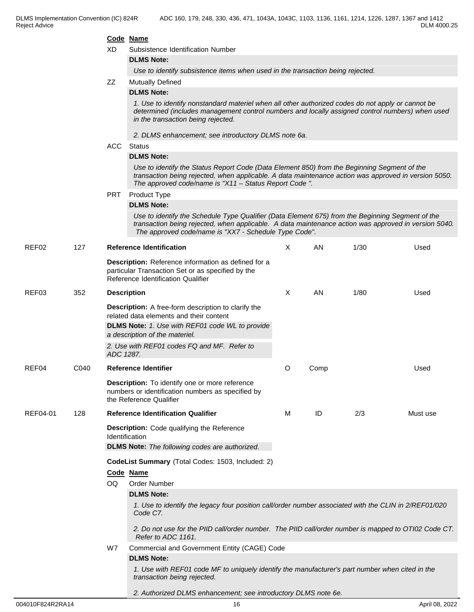#### **Code Name**

| XD<br>Subsistence Identification Number |  |
|-----------------------------------------|--|
|-----------------------------------------|--|

**DLMS Note:**

*Use to identify subsistence items when used in the transaction being rejected.*

### ZZ Mutually Defined

#### **DLMS Note:**

*1. Use to identify nonstandard materiel when all other authorized codes do not apply or cannot be determined (includes management control numbers and locally assigned control numbers) when used in the transaction being rejected.* 

*2. DLMS enhancement; see introductory DLMS note 6a.*

#### ACC Status

#### **DLMS Note:**

*Use to identify the Status Report Code (Data Element 850) from the Beginning Segment of the transaction being rejected, when applicable. A data maintenance action was approved in version 5050. The approved code/name is "X11 – Status Report Code ".* 

#### PRT Product Type

#### **DLMS Note:**

*Use to identify the Schedule Type Qualifier (Data Element 675) from the Beginning Segment of the transaction being rejected, when applicable. A data maintenance action was approved in version 5040. The approved code/name is "XX7 - Schedule Type Code".*

| REF02    | 127  |                    | <b>Reference Identification</b>                                                                                                                                                                   | X | AN   | 1/30 | Used     |
|----------|------|--------------------|---------------------------------------------------------------------------------------------------------------------------------------------------------------------------------------------------|---|------|------|----------|
|          |      |                    | Description: Reference information as defined for a<br>particular Transaction Set or as specified by the<br>Reference Identification Qualifier                                                    |   |      |      |          |
| REF03    | 352  | <b>Description</b> |                                                                                                                                                                                                   | X | AN   | 1/80 | Used     |
|          |      |                    | <b>Description:</b> A free-form description to clarify the<br>related data elements and their content<br><b>DLMS Note:</b> 1. Use with REF01 code WL to provide<br>a description of the materiel. |   |      |      |          |
|          |      | ADC 1287.          | 2. Use with REF01 codes FQ and MF. Refer to                                                                                                                                                       |   |      |      |          |
| REF04    | C040 |                    | <b>Reference Identifier</b>                                                                                                                                                                       | O | Comp |      | Used     |
|          |      |                    | Description: To identify one or more reference<br>numbers or identification numbers as specified by<br>the Reference Qualifier                                                                    |   |      |      |          |
| REF04-01 | 128  |                    | <b>Reference Identification Qualifier</b>                                                                                                                                                         | м | ID   | 2/3  | Must use |
|          |      |                    | Description: Code qualifying the Reference<br><b>Identification</b>                                                                                                                               |   |      |      |          |
|          |      |                    | <b>DLMS Note:</b> The following codes are authorized.                                                                                                                                             |   |      |      |          |
|          |      |                    | CodeList Summary (Total Codes: 1503, Included: 2)                                                                                                                                                 |   |      |      |          |
|          |      |                    | Code Name                                                                                                                                                                                         |   |      |      |          |
|          |      | OQ                 | <b>Order Number</b>                                                                                                                                                                               |   |      |      |          |
|          |      |                    | <b>DLMS Note:</b>                                                                                                                                                                                 |   |      |      |          |
|          |      |                    | 1. Use to identify the legacy four position call/order number associated with the CLIN in 2/REF01/020<br>Code C7.                                                                                 |   |      |      |          |
|          |      |                    | 2. Do not use for the PIID call/order number. The PIID call/order number is mapped to OTI02 Code CT.<br>Refer to ADC 1161.                                                                        |   |      |      |          |
|          |      | W7                 | Commercial and Government Entity (CAGE) Code                                                                                                                                                      |   |      |      |          |
|          |      |                    | <b>DLMS Note:</b>                                                                                                                                                                                 |   |      |      |          |
|          |      |                    | 1. Use with REF01 code MF to uniquely identify the manufacturer's part number when cited in the<br>transaction being rejected.                                                                    |   |      |      |          |

004010F824R2RA14 16 April 08, 2022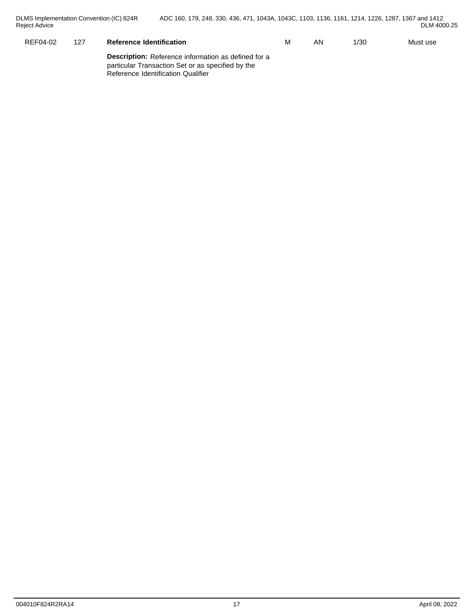| REF04-02 | $\sqrt{2}$<br>1 Z. | $  -$<br><b>Reference Identification</b> | M | AN | /30 | Must use |
|----------|--------------------|------------------------------------------|---|----|-----|----------|
|          |                    | --                                       |   |    |     |          |

**Description:** Reference information as defined for a particular Transaction Set or as specified by the Reference Identification Qualifier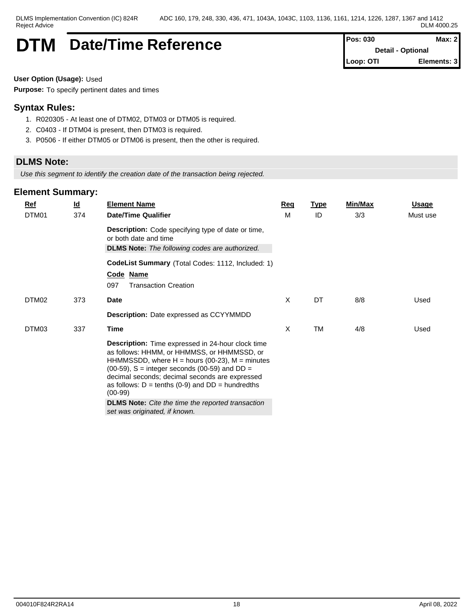## **DTM** Date/Time Reference **Pos: 030** Max: 2

**Detail - Optional Loop: OTI Elements: 3**

**User Option (Usage):** Used

**Purpose:** To specify pertinent dates and times

## **Syntax Rules:**

- 1. R020305 At least one of DTM02, DTM03 or DTM05 is required.
- 2. C0403 If DTM04 is present, then DTM03 is required.
- 3. P0506 If either DTM05 or DTM06 is present, then the other is required.

## **DLMS Note:**

*Use this segment to identify the creation date of the transaction being rejected.*

| Ref   | $\underline{\mathsf{Id}}$ | <b>Element Name</b>                                                                                                                                                                                                                                                                                                                                                                                                                            | Req | <b>Type</b> | Min/Max | <b>Usage</b> |
|-------|---------------------------|------------------------------------------------------------------------------------------------------------------------------------------------------------------------------------------------------------------------------------------------------------------------------------------------------------------------------------------------------------------------------------------------------------------------------------------------|-----|-------------|---------|--------------|
| DTM01 | 374                       | <b>Date/Time Qualifier</b>                                                                                                                                                                                                                                                                                                                                                                                                                     | M   | ID          | 3/3     | Must use     |
|       |                           | Description: Code specifying type of date or time,<br>or both date and time                                                                                                                                                                                                                                                                                                                                                                    |     |             |         |              |
|       |                           | <b>DLMS Note:</b> The following codes are authorized.                                                                                                                                                                                                                                                                                                                                                                                          |     |             |         |              |
|       |                           | CodeList Summary (Total Codes: 1112, Included: 1)                                                                                                                                                                                                                                                                                                                                                                                              |     |             |         |              |
|       |                           | Code Name                                                                                                                                                                                                                                                                                                                                                                                                                                      |     |             |         |              |
|       |                           | 097<br><b>Transaction Creation</b>                                                                                                                                                                                                                                                                                                                                                                                                             |     |             |         |              |
| DTM02 | 373                       | <b>Date</b>                                                                                                                                                                                                                                                                                                                                                                                                                                    | X   | DT          | 8/8     | Used         |
|       |                           | Description: Date expressed as CCYYMMDD                                                                                                                                                                                                                                                                                                                                                                                                        |     |             |         |              |
| DTM03 | 337                       | Time                                                                                                                                                                                                                                                                                                                                                                                                                                           | X   | <b>TM</b>   | 4/8     | Used         |
|       |                           | Description: Time expressed in 24-hour clock time<br>as follows: HHMM, or HHMMSS, or HHMMSSD, or<br>HHMMSSDD, where $H =$ hours (00-23), $M =$ minutes<br>$(00-59)$ , S = integer seconds $(00-59)$ and DD =<br>decimal seconds; decimal seconds are expressed<br>as follows: $D = \text{tenths}$ (0-9) and $DD = \text{hundredths}$<br>$(00-99)$<br><b>DLMS Note:</b> Cite the time the reported transaction<br>set was originated, if known. |     |             |         |              |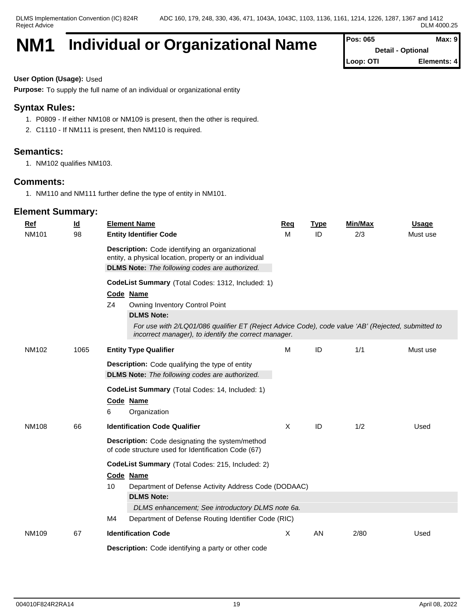## **NM1 Individual or Organizational Name**

| Pos: 065  | Max: 9                   |
|-----------|--------------------------|
|           | <b>Detail - Optional</b> |
| Loop: OTI | Elements: 4              |

**User Option (Usage):** Used

**Purpose:** To supply the full name of an individual or organizational entity

## **Syntax Rules:**

- 1. P0809 If either NM108 or NM109 is present, then the other is required.
- 2. C1110 If NM111 is present, then NM110 is required.

## **Semantics:**

1. NM102 qualifies NM103.

## **Comments:**

1. NM110 and NM111 further define the type of entity in NM101.

| Ref          | $\underline{\mathsf{Id}}$ | <b>Element Name</b>                                                                                                                                                | Req | <b>Type</b> | Min/Max | <b>Usage</b> |  |  |  |  |  |
|--------------|---------------------------|--------------------------------------------------------------------------------------------------------------------------------------------------------------------|-----|-------------|---------|--------------|--|--|--|--|--|
| <b>NM101</b> | 98                        | <b>Entity Identifier Code</b>                                                                                                                                      | M   | ID          | 2/3     | Must use     |  |  |  |  |  |
|              |                           | Description: Code identifying an organizational<br>entity, a physical location, property or an individual<br><b>DLMS Note:</b> The following codes are authorized. |     |             |         |              |  |  |  |  |  |
|              |                           | CodeList Summary (Total Codes: 1312, Included: 1)                                                                                                                  |     |             |         |              |  |  |  |  |  |
|              |                           | Code Name                                                                                                                                                          |     |             |         |              |  |  |  |  |  |
|              |                           | Z4<br>Owning Inventory Control Point                                                                                                                               |     |             |         |              |  |  |  |  |  |
|              |                           | <b>DLMS Note:</b>                                                                                                                                                  |     |             |         |              |  |  |  |  |  |
|              |                           | For use with 2/LQ01/086 qualifier ET (Reject Advice Code), code value 'AB' (Rejected, submitted to<br>incorrect manager), to identify the correct manager.         |     |             |         |              |  |  |  |  |  |
| NM102        | 1065                      | <b>Entity Type Qualifier</b>                                                                                                                                       | M   | ID          | 1/1     | Must use     |  |  |  |  |  |
|              |                           | <b>Description:</b> Code qualifying the type of entity                                                                                                             |     |             |         |              |  |  |  |  |  |
|              |                           | <b>DLMS Note:</b> The following codes are authorized.                                                                                                              |     |             |         |              |  |  |  |  |  |
|              |                           | CodeList Summary (Total Codes: 14, Included: 1)                                                                                                                    |     |             |         |              |  |  |  |  |  |
|              |                           | Code Name                                                                                                                                                          |     |             |         |              |  |  |  |  |  |
|              |                           | 6<br>Organization                                                                                                                                                  |     |             |         |              |  |  |  |  |  |
| <b>NM108</b> | 66                        | <b>Identification Code Qualifier</b>                                                                                                                               | X   | ID          | 1/2     | Used         |  |  |  |  |  |
|              |                           | <b>Description:</b> Code designating the system/method<br>of code structure used for Identification Code (67)                                                      |     |             |         |              |  |  |  |  |  |
|              |                           | CodeList Summary (Total Codes: 215, Included: 2)                                                                                                                   |     |             |         |              |  |  |  |  |  |
|              |                           | Code Name                                                                                                                                                          |     |             |         |              |  |  |  |  |  |
|              |                           | 10<br>Department of Defense Activity Address Code (DODAAC)                                                                                                         |     |             |         |              |  |  |  |  |  |
|              |                           | <b>DLMS Note:</b>                                                                                                                                                  |     |             |         |              |  |  |  |  |  |
|              |                           | DLMS enhancement; See introductory DLMS note 6a.                                                                                                                   |     |             |         |              |  |  |  |  |  |
|              |                           | M4<br>Department of Defense Routing Identifier Code (RIC)                                                                                                          |     |             |         |              |  |  |  |  |  |
| <b>NM109</b> | 67                        | <b>Identification Code</b>                                                                                                                                         | X   | AN          | 2/80    | Used         |  |  |  |  |  |
|              |                           | Description: Code identifying a party or other code                                                                                                                |     |             |         |              |  |  |  |  |  |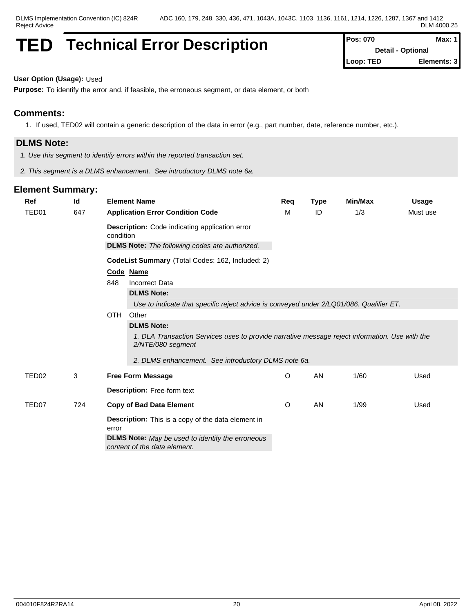## **TED** Technical Error Description

| Pos: 070  | Max: 1                   |
|-----------|--------------------------|
|           | <b>Detail - Optional</b> |
| Loop: TED | Elements: 3              |

## **User Option (Usage):** Used

**Purpose:** To identify the error and, if feasible, the erroneous segment, or data element, or both

## **Comments:**

1. If used, TED02 will contain a generic description of the data in error (e.g., part number, date, reference number, etc.).

## **DLMS Note:**

- *1. Use this segment to identify errors within the reported transaction set.*
- *2. This segment is a DLMS enhancement. See introductory DLMS note 6a.*

| TED <sub>01</sub><br>647<br>ID<br>1/3<br>м<br>Must use                                                              |  |
|---------------------------------------------------------------------------------------------------------------------|--|
| <b>Application Error Condition Code</b><br><b>Description:</b> Code indicating application error<br>condition       |  |
| <b>DLMS Note:</b> The following codes are authorized.                                                               |  |
| CodeList Summary (Total Codes: 162, Included: 2)                                                                    |  |
| Code Name                                                                                                           |  |
| 848<br><b>Incorrect Data</b>                                                                                        |  |
| <b>DLMS Note:</b>                                                                                                   |  |
| Use to indicate that specific reject advice is conveyed under 2/LQ01/086. Qualifier ET.                             |  |
| OTH Other                                                                                                           |  |
| <b>DLMS Note:</b>                                                                                                   |  |
| 1. DLA Transaction Services uses to provide narrative message reject information. Use with the<br>2/NTE/080 segment |  |
| 2. DLMS enhancement. See introductory DLMS note 6a.                                                                 |  |
| O<br>AN<br>TED <sub>02</sub><br>3<br>1/60<br>Used<br><b>Free Form Message</b>                                       |  |
| <b>Description: Free-form text</b>                                                                                  |  |
| O<br>AN<br>TED <sub>07</sub><br>724<br><b>Copy of Bad Data Element</b><br>1/99<br>Used                              |  |
| <b>Description:</b> This is a copy of the data element in<br>error                                                  |  |
| <b>DLMS Note:</b> May be used to identify the erroneous                                                             |  |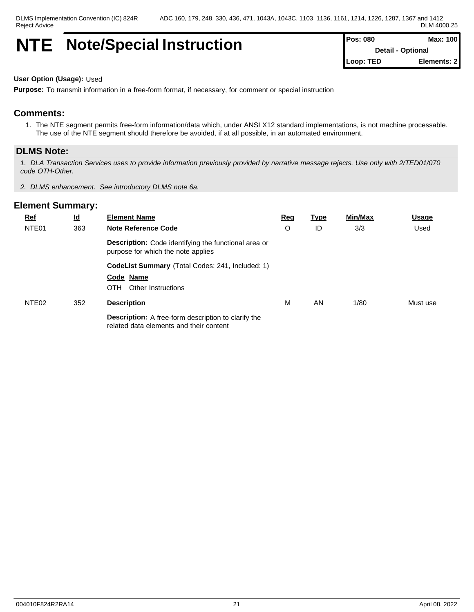## **NTE** Note/Special Instruction

| <b>Pos: 080</b> | Max: 100                 |
|-----------------|--------------------------|
|                 | <b>Detail - Optional</b> |
| Loop: TED       | Elements: 2              |

#### **User Option (Usage):** Used

**Purpose:** To transmit information in a free-form format, if necessary, for comment or special instruction

## **Comments:**

1. The NTE segment permits free-form information/data which, under ANSI X12 standard implementations, is not machine processable. The use of the NTE segment should therefore be avoided, if at all possible, in an automated environment.

#### **DLMS Note:**

*1. DLA Transaction Services uses to provide information previously provided by narrative message rejects. Use only with 2/TED01/070 code OTH-Other.*

*2. DLMS enhancement. See introductory DLMS note 6a.*

| <b>Ref</b>        | <u>ld</u> | <b>Element Name</b>                                                                                   | <b>Req</b> | <u>Type</u> | Min/Max | <b>Usage</b> |
|-------------------|-----------|-------------------------------------------------------------------------------------------------------|------------|-------------|---------|--------------|
| NTE <sub>01</sub> | 363       | <b>Note Reference Code</b>                                                                            | O          | ID          | 3/3     | Used         |
|                   |           | <b>Description:</b> Code identifying the functional area or<br>purpose for which the note applies     |            |             |         |              |
|                   |           | CodeList Summary (Total Codes: 241, Included: 1)                                                      |            |             |         |              |
|                   |           | Code Name                                                                                             |            |             |         |              |
|                   |           | Other Instructions<br>OTH                                                                             |            |             |         |              |
| NTE <sub>02</sub> | 352       | <b>Description</b>                                                                                    | м          | AN          | 1/80    | Must use     |
|                   |           | <b>Description:</b> A free-form description to clarify the<br>related data elements and their content |            |             |         |              |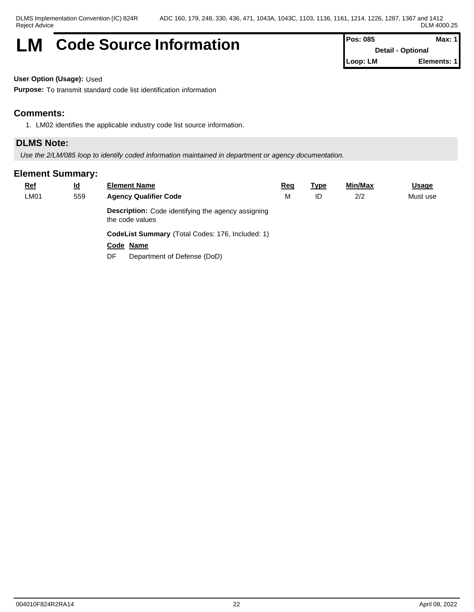## **LM** Code Source Information **Pos: 085** Max: 1

**Detail - Optional Loop: LM Elements: 1**

**User Option (Usage):** Used

**Purpose:** To transmit standard code list identification information

## **Comments:**

1. LM02 identifies the applicable industry code list source information.

## **DLMS Note:**

*Use the 2/LM/085 loop to identify coded information maintained in department or agency documentation.*

| <b>Ref</b>  | <u>ld</u> | <b>Element Name</b>                                                          | <u>Req</u> | <u>Type</u> | Min/Max | <b>Usage</b> |
|-------------|-----------|------------------------------------------------------------------------------|------------|-------------|---------|--------------|
| <b>LM01</b> | 559       | <b>Agency Qualifier Code</b>                                                 | M          | ID          | 2/2     | Must use     |
|             |           | <b>Description:</b> Code identifying the agency assigning<br>the code values |            |             |         |              |
|             |           | CodeList Summary (Total Codes: 176, Included: 1)                             |            |             |         |              |
|             |           | Code Name                                                                    |            |             |         |              |
|             |           | Department of Defense (DoD)<br>DF                                            |            |             |         |              |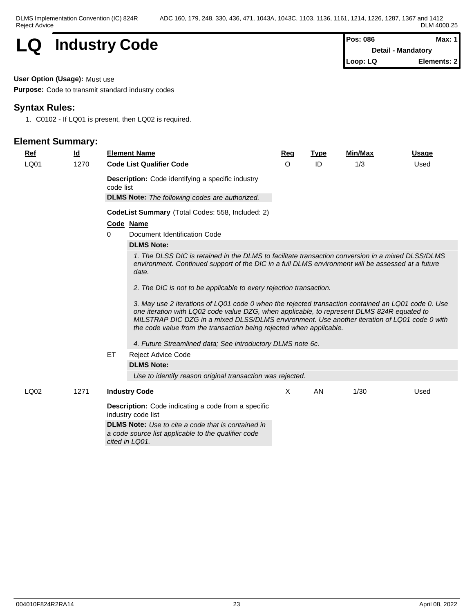

**Detail - Mandatory Loop: LQ Elements: 2**

#### **User Option (Usage):** Must use

**Purpose:** Code to transmit standard industry codes

## **Syntax Rules:**

1. C0102 - If LQ01 is present, then LQ02 is required.

| <b>Ref</b> | <u>ld</u> |           | <b>Element Name</b>                                                                                                                                                                                                                                                                                                                                                     | Req | <b>Type</b> | Min/Max | <b>Usage</b> |  |  |  |  |  |  |
|------------|-----------|-----------|-------------------------------------------------------------------------------------------------------------------------------------------------------------------------------------------------------------------------------------------------------------------------------------------------------------------------------------------------------------------------|-----|-------------|---------|--------------|--|--|--|--|--|--|
| LQ01       | 1270      |           | <b>Code List Qualifier Code</b>                                                                                                                                                                                                                                                                                                                                         | O   | ID          | 1/3     | Used         |  |  |  |  |  |  |
|            |           | code list | <b>Description:</b> Code identifying a specific industry                                                                                                                                                                                                                                                                                                                |     |             |         |              |  |  |  |  |  |  |
|            |           |           | <b>DLMS Note:</b> The following codes are authorized.                                                                                                                                                                                                                                                                                                                   |     |             |         |              |  |  |  |  |  |  |
|            |           |           | <b>CodeList Summary</b> (Total Codes: 558, Included: 2)                                                                                                                                                                                                                                                                                                                 |     |             |         |              |  |  |  |  |  |  |
|            |           |           | Code Name                                                                                                                                                                                                                                                                                                                                                               |     |             |         |              |  |  |  |  |  |  |
|            |           | 0         | Document Identification Code                                                                                                                                                                                                                                                                                                                                            |     |             |         |              |  |  |  |  |  |  |
|            |           |           | <b>DLMS Note:</b>                                                                                                                                                                                                                                                                                                                                                       |     |             |         |              |  |  |  |  |  |  |
|            |           |           | 1. The DLSS DIC is retained in the DLMS to facilitate transaction conversion in a mixed DLSS/DLMS<br>environment. Continued support of the DIC in a full DLMS environment will be assessed at a future<br>date.                                                                                                                                                         |     |             |         |              |  |  |  |  |  |  |
|            |           |           | 2. The DIC is not to be applicable to every rejection transaction.                                                                                                                                                                                                                                                                                                      |     |             |         |              |  |  |  |  |  |  |
|            |           |           | 3. May use 2 iterations of LQ01 code 0 when the rejected transaction contained an LQ01 code 0. Use<br>one iteration with LQ02 code value DZG, when applicable, to represent DLMS 824R equated to<br>MILSTRAP DIC DZG in a mixed DLSS/DLMS environment. Use another iteration of LQ01 code 0 with<br>the code value from the transaction being rejected when applicable. |     |             |         |              |  |  |  |  |  |  |
|            |           |           | 4. Future Streamlined data; See introductory DLMS note 6c.                                                                                                                                                                                                                                                                                                              |     |             |         |              |  |  |  |  |  |  |
|            |           | ET.       | <b>Reject Advice Code</b>                                                                                                                                                                                                                                                                                                                                               |     |             |         |              |  |  |  |  |  |  |
|            |           |           | <b>DLMS Note:</b>                                                                                                                                                                                                                                                                                                                                                       |     |             |         |              |  |  |  |  |  |  |
|            |           |           | Use to identify reason original transaction was rejected.                                                                                                                                                                                                                                                                                                               |     |             |         |              |  |  |  |  |  |  |
| LQ02       | 1271      |           | <b>Industry Code</b>                                                                                                                                                                                                                                                                                                                                                    | X   | <b>AN</b>   | 1/30    | Used         |  |  |  |  |  |  |
|            |           |           | <b>Description:</b> Code indicating a code from a specific<br>industry code list                                                                                                                                                                                                                                                                                        |     |             |         |              |  |  |  |  |  |  |
|            |           |           | <b>DLMS Note:</b> Use to cite a code that is contained in<br>a code source list applicable to the qualifier code<br>cited in LQ01.                                                                                                                                                                                                                                      |     |             |         |              |  |  |  |  |  |  |
|            |           |           |                                                                                                                                                                                                                                                                                                                                                                         |     |             |         |              |  |  |  |  |  |  |